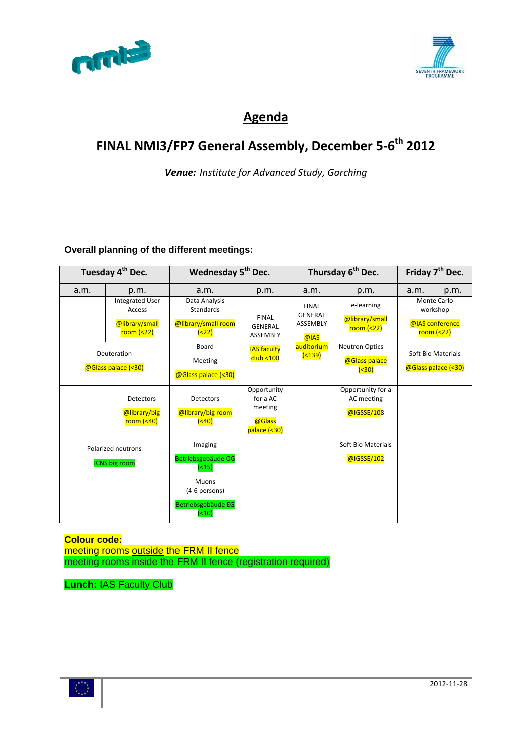



### **Agenda**

## **FINAL NMI3/FP7 General Assembly, December 5‐6th 2012**

*Venue: Institute for Advanced Study, Garching*

#### **Overall planning of the different meetings:**

| Tuesday 4 <sup>th</sup> Dec. |                                                                   | Wednesday 5 <sup>th</sup> Dec.                                 |                                                              | Thursday 6 <sup>th</sup> Dec.                             |                                                | Friday 7 <sup>th</sup> Dec. |                                                                  |
|------------------------------|-------------------------------------------------------------------|----------------------------------------------------------------|--------------------------------------------------------------|-----------------------------------------------------------|------------------------------------------------|-----------------------------|------------------------------------------------------------------|
| a.m.                         | p.m.                                                              | a.m.                                                           | p.m.                                                         | a.m.                                                      | p.m.                                           | a.m.                        | p.m.                                                             |
|                              | <b>Integrated User</b><br>Access<br>@library/small<br>$room (22)$ | Data Analysis<br>Standards<br>@library/small room<br>(22)      | <b>FINAL</b><br><b>GENERAL</b><br>ASSEMBLY                   | <b>FINAL</b><br><b>GENERAL</b><br><b>ASSEMBLY</b><br>@IAS | e-learning<br>@library/small<br>$room$ (<22)   |                             | <b>Monte Carlo</b><br>workshop<br>@IAS conference<br>room $(22)$ |
|                              | Deuteration<br>@Glass palace (<30)                                | Board<br>Meeting<br>@Glass palace (<30)                        | <b>IAS faculty</b><br>club < 100                             | auditorium<br>( < 139)                                    | <b>Neutron Optics</b><br>@Glass palace<br>(30) |                             | Soft Bio Materials<br>@Glass palace (<30)                        |
|                              | <b>Detectors</b><br>@library/big<br>room $(40)$                   | Detectors<br>@library/big room<br>( < 40)                      | Opportunity<br>for a AC<br>meeting<br>@Glass<br>palace (<30) |                                                           | Opportunity for a<br>AC meeting<br>@IGSSE/108  |                             |                                                                  |
|                              | Polarized neutrons<br><b>JCNS</b> big room                        | Imaging<br>Betriebsgebäude OG<br>(15)                          |                                                              |                                                           | Soft Bio Materials<br>@IGSSE/102               |                             |                                                                  |
|                              |                                                                   | <b>Muons</b><br>(4-6 persons)<br>Betriebsgebäude EG<br>( < 10) |                                                              |                                                           |                                                |                             |                                                                  |

**Colour code:**  meeting rooms outside the FRM II fence meeting rooms inside the FRM II fence (registration required)

**Lunch:** IAS Faculty Club

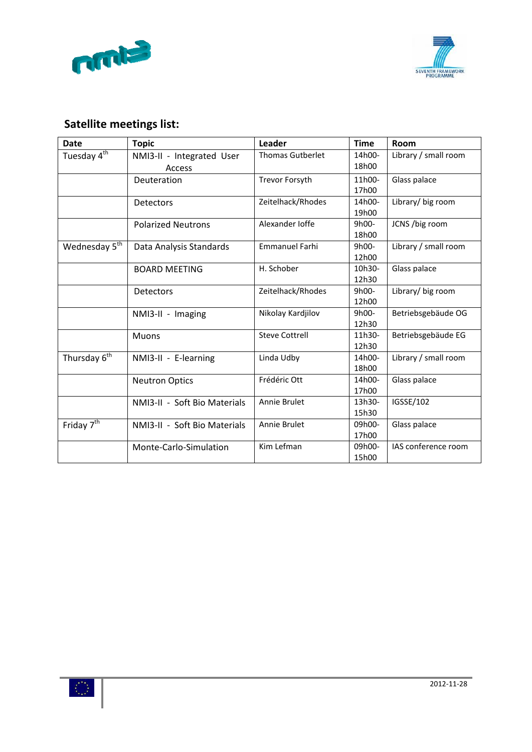



## **Satellite meetings list:**

| <b>Date</b>               | <b>Topic</b>                 | Leader                  | <b>Time</b> | Room                 |
|---------------------------|------------------------------|-------------------------|-------------|----------------------|
| Tuesday 4 <sup>th</sup>   | NMI3-II - Integrated User    | <b>Thomas Gutberlet</b> | 14h00-      | Library / small room |
|                           | Access                       |                         | 18h00       |                      |
|                           | Deuteration                  | <b>Trevor Forsyth</b>   | 11h00-      | Glass palace         |
|                           |                              |                         | 17h00       |                      |
|                           | <b>Detectors</b>             | Zeitelhack/Rhodes       | 14h00-      | Library/ big room    |
|                           |                              |                         | 19h00       |                      |
|                           | <b>Polarized Neutrons</b>    | Alexander Joffe         | 9h00-       | JCNS /big room       |
|                           |                              |                         | 18h00       |                      |
| Wednesday 5 <sup>th</sup> | Data Analysis Standards      | <b>Emmanuel Farhi</b>   | 9h00-       | Library / small room |
|                           |                              |                         | 12h00       |                      |
|                           | <b>BOARD MEETING</b>         | H. Schober              | 10h30-      | Glass palace         |
|                           |                              |                         | 12h30       |                      |
|                           | <b>Detectors</b>             | Zeitelhack/Rhodes       | 9h00-       | Library/ big room    |
|                           |                              |                         | 12h00       |                      |
|                           | NMI3-II - Imaging            | Nikolay Kardjilov       | 9h00-       | Betriebsgebäude OG   |
|                           |                              |                         | 12h30       |                      |
|                           | <b>Muons</b>                 | <b>Steve Cottrell</b>   | 11h30-      | Betriebsgebäude EG   |
|                           |                              |                         | 12h30       |                      |
| Thursday 6 <sup>th</sup>  | NMI3-II - E-learning         | Linda Udby              | 14h00-      | Library / small room |
|                           |                              |                         | 18h00       |                      |
|                           | <b>Neutron Optics</b>        | Frédéric Ott            | 14h00-      | Glass palace         |
|                           |                              |                         | 17h00       |                      |
|                           | NMI3-II - Soft Bio Materials | Annie Brulet            | 13h30-      | IGSSE/102            |
|                           |                              |                         | 15h30       |                      |
| Friday 7 <sup>th</sup>    | NMI3-II - Soft Bio Materials | Annie Brulet            | 09h00-      | Glass palace         |
|                           |                              |                         | 17h00       |                      |
|                           | Monte-Carlo-Simulation       | Kim Lefman              | 09h00-      | IAS conference room  |
|                           |                              |                         | 15h00       |                      |

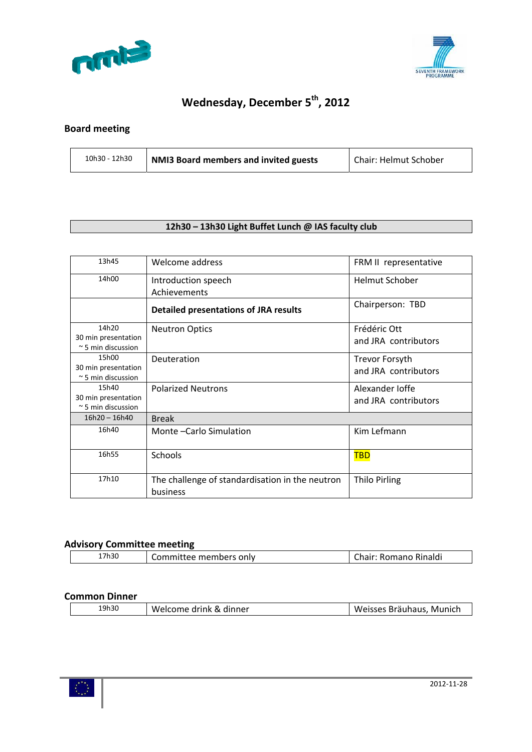



# **Wednesday, December 5th, 2012**

### **Board meeting**

| 10h30 - 12h30 | NMI3 Board members and invited guests | Chair: Helmut Schober |
|---------------|---------------------------------------|-----------------------|
|---------------|---------------------------------------|-----------------------|

### **12h30 – 13h30 Light Buffet Lunch @ IAS faculty club**

| 13h45                                             | Welcome address                                             | FRM II representative |
|---------------------------------------------------|-------------------------------------------------------------|-----------------------|
| 14h00                                             | Introduction speech                                         | <b>Helmut Schober</b> |
|                                                   | Achievements                                                |                       |
|                                                   | <b>Detailed presentations of JRA results</b>                | Chairperson: TBD      |
| 14h20                                             | <b>Neutron Optics</b>                                       | Frédéric Ott          |
| 30 min presentation                               |                                                             | and JRA contributors  |
| $\approx$ 5 min discussion                        |                                                             |                       |
| 15h00                                             | Deuteration                                                 | <b>Trevor Forsyth</b> |
| 30 min presentation                               |                                                             | and JRA contributors  |
| $\approx$ 5 min discussion                        |                                                             |                       |
| 15h40                                             | <b>Polarized Neutrons</b>                                   | Alexander Joffe       |
| 30 min presentation<br>$\approx$ 5 min discussion |                                                             | and JRA contributors  |
| $16h20 - 16h40$                                   | <b>Break</b>                                                |                       |
| 16h40                                             | Monte - Carlo Simulation                                    | Kim Lefmann           |
| 16h55                                             | Schools                                                     | <u>TBD</u>            |
| 17h10                                             | The challenge of standardisation in the neutron<br>business | <b>Thilo Pirling</b>  |

#### **Advisory Committee meeting**

|                                                                                                   |       | -- |  |
|---------------------------------------------------------------------------------------------------|-------|----|--|
| a walls a wa<br>Rinaldi<br>only<br>- --- - -- -<br>.<br>.<br>KĽ<br>member<br>11 I di l<br>п,<br>ີ | 17h30 |    |  |

#### **Common Dinner**

| 19h30<br>Weisses Bräuhaus, Munich<br>Welcome drink & dinner |
|-------------------------------------------------------------|
|-------------------------------------------------------------|